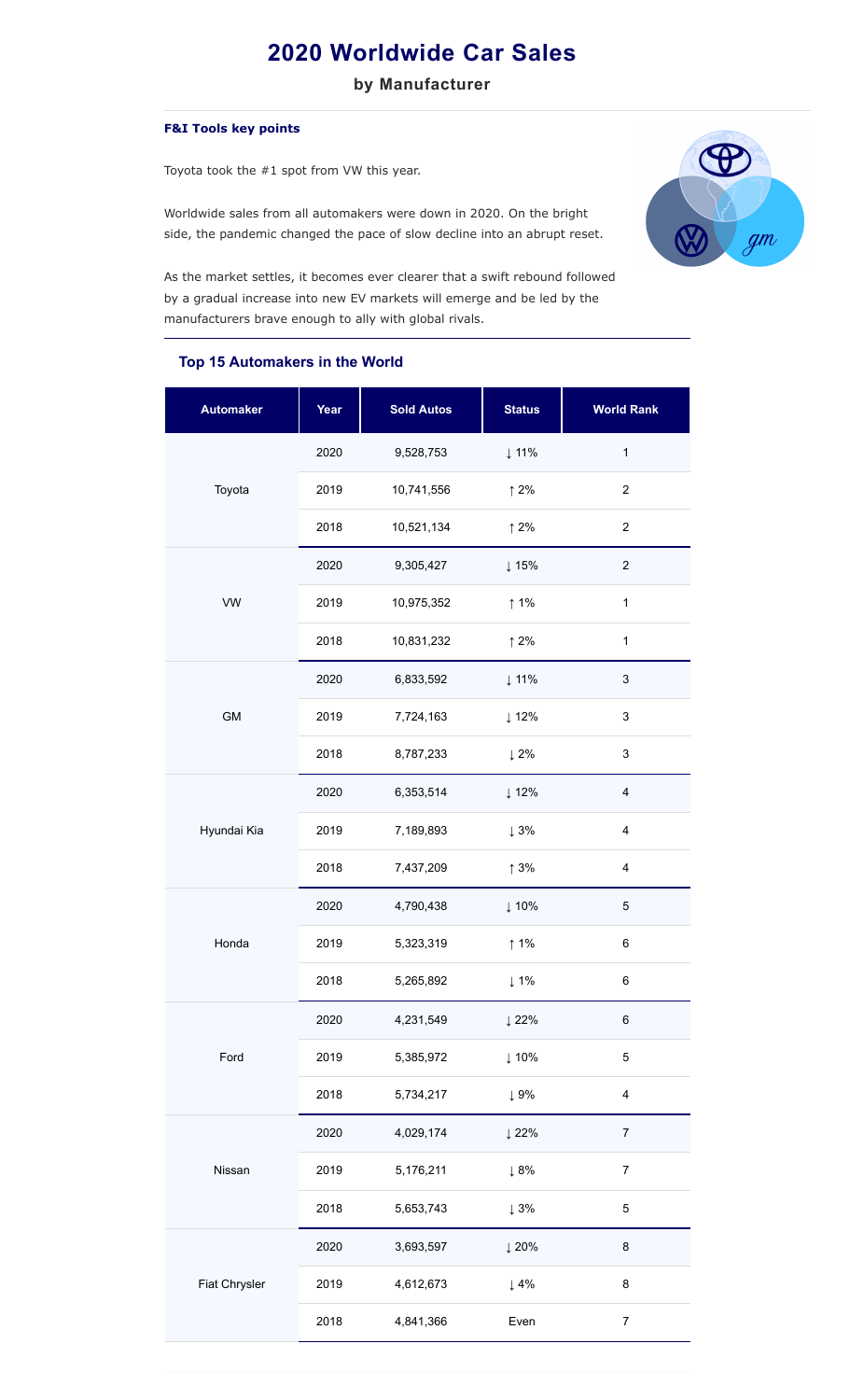## **2020 Worldwide Car Sales**

**by Manufacturer**

## **F&I Tools key points**

Toyota took the #1 spot from VW this year.

Worldwide sales from all automakers were down in 2020. On the bright side, the pandemic changed the pace of slow decline into an abrupt reset.



As the market settles, it becomes ever clearer that a swift rebound followed by a gradual increase into new EV markets will emerge and be led by the manufacturers brave enough to ally with global rivals.

## **Top 15 Automakers in the World**

| <b>Automaker</b> | Year | <b>Sold Autos</b> | <b>Status</b>    | <b>World Rank</b>         |
|------------------|------|-------------------|------------------|---------------------------|
| Toyota           | 2020 | 9,528,753         | ↓11%             | $\mathbf{1}$              |
|                  | 2019 | 10,741,556        | $\uparrow$ 2%    | $\overline{c}$            |
|                  | 2018 | 10,521,134        | $\uparrow$ 2%    | $\overline{c}$            |
| VW               | 2020 | 9,305,427         | ↓15%             | $\mathbf 2$               |
|                  | 2019 | 10,975,352        | $\uparrow$ 1%    | $\mathbf 1$               |
|                  | 2018 | 10,831,232        | $\uparrow$ 2%    | $\mathbf{1}$              |
| GM               | 2020 | 6,833,592         | ↓11%             | $\mathfrak{S}$            |
|                  | 2019 | 7,724,163         | $\downarrow$ 12% | 3                         |
|                  | 2018 | 8,787,233         | $\downarrow$ 2%  | $\ensuremath{\mathsf{3}}$ |
| Hyundai Kia      | 2020 | 6,353,514         | $\downarrow$ 12% | $\overline{4}$            |
|                  | 2019 | 7,189,893         | $\downarrow 3\%$ | $\overline{\mathbf{4}}$   |
|                  | 2018 | 7,437,209         | $\uparrow$ 3%    | $\overline{\mathbf{4}}$   |
| Honda            | 2020 | 4,790,438         | ↓10%             | $\mathbf 5$               |
|                  | 2019 | 5,323,319         | $\uparrow$ 1%    | 6                         |
|                  | 2018 | 5,265,892         | $\downarrow$ 1%  | 6                         |
| Ford             | 2020 | 4,231,549         | ↓22%             | $\,6$                     |
|                  | 2019 | 5,385,972         | ↓10%             | 5                         |
|                  | 2018 | 5,734,217         | $\downarrow 9\%$ | $\overline{\mathbf{4}}$   |
| Nissan           | 2020 | 4,029,174         | ↓22%             | $\boldsymbol{7}$          |
|                  | 2019 | 5,176,211         | $\downarrow 8\%$ | $\boldsymbol{7}$          |
|                  | 2018 | 5,653,743         | $\downarrow 3\%$ | 5                         |
| Fiat Chrysler    | 2020 | 3,693,597         | ↓20%             | 8                         |
|                  | 2019 | 4,612,673         | $\downarrow$ 4%  | 8                         |
|                  | 2018 | 4,841,366         | Even             | $\boldsymbol{7}$          |